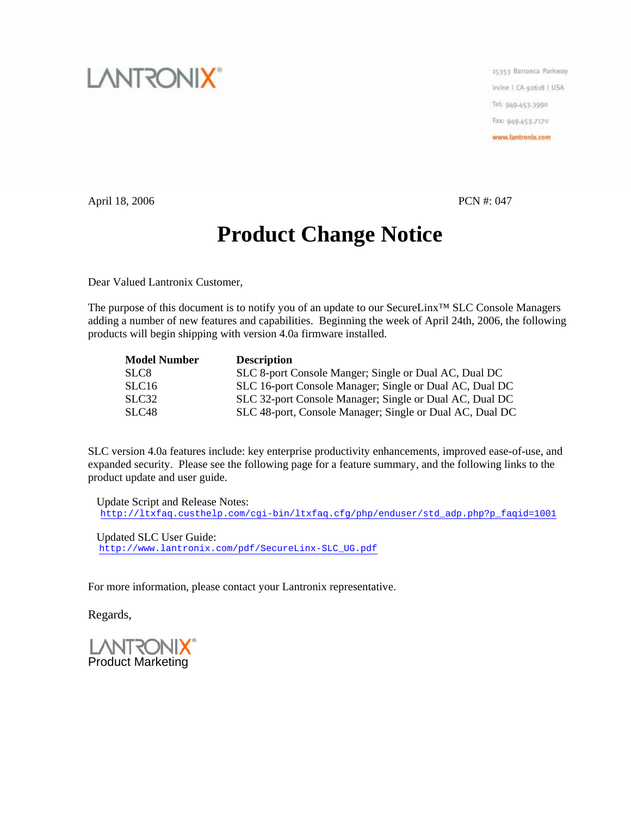

15353 Barranca Parkway Irvine I CA 92618 | USA Tel: 949-453-3990 Fax: 949-453-7170 www.lantronix.com

April 18, 2006 PCN #: 047

## **Product Change Notice**

Dear Valued Lantronix Customer,

The purpose of this document is to notify you of an update to our SecureLinx™ SLC Console Managers adding a number of new features and capabilities. Beginning the week of April 24th, 2006, the following products will begin shipping with version 4.0a firmware installed.

| <b>Model Number</b> | <b>Description</b>                                       |
|---------------------|----------------------------------------------------------|
| SLC8                | SLC 8-port Console Manger; Single or Dual AC, Dual DC    |
| SLC <sub>16</sub>   | SLC 16-port Console Manager; Single or Dual AC, Dual DC  |
| SLC32               | SLC 32-port Console Manager; Single or Dual AC, Dual DC  |
| SLC <sub>48</sub>   | SLC 48-port, Console Manager; Single or Dual AC, Dual DC |

SLC version 4.0a features include: key enterprise productivity enhancements, improved ease-of-use, and expanded security. Please see the following page for a feature summary, and the following links to the product update and user guide.

 Update Script and Release Notes: http://ltxfaq.custhelp.com/cgi-bin/ltxfaq.cfg/php/enduser/std\_adp.php?p\_faqid=1001

 Updated SLC User Guide: http://www.lantronix.com/pdf/SecureLinx-SLC\_UG.pdf

For more information, please contact your Lantronix representative.

Regards,